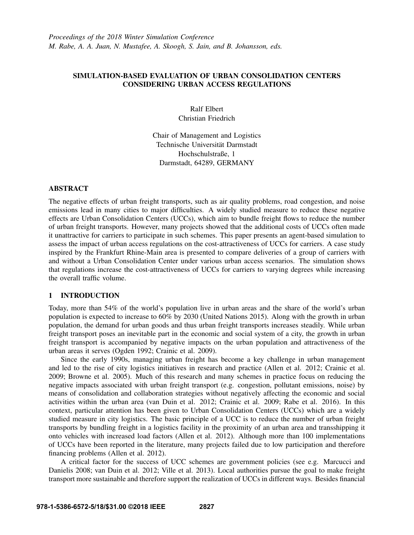# SIMULATION-BASED EVALUATION OF URBAN CONSOLIDATION CENTERS CONSIDERING URBAN ACCESS REGULATIONS

Ralf Elbert Christian Friedrich

Chair of Management and Logistics Technische Universität Darmstadt Hochschulstraße, 1 Darmstadt, 64289, GERMANY

# ABSTRACT

The negative effects of urban freight transports, such as air quality problems, road congestion, and noise emissions lead in many cities to major difficulties. A widely studied measure to reduce these negative effects are Urban Consolidation Centers (UCCs), which aim to bundle freight flows to reduce the number of urban freight transports. However, many projects showed that the additional costs of UCCs often made it unattractive for carriers to participate in such schemes. This paper presents an agent-based simulation to assess the impact of urban access regulations on the cost-attractiveness of UCCs for carriers. A case study inspired by the Frankfurt Rhine-Main area is presented to compare deliveries of a group of carriers with and without a Urban Consolidation Center under various urban access scenarios. The simulation shows that regulations increase the cost-attractiveness of UCCs for carriers to varying degrees while increasing the overall traffic volume.

# 1 INTRODUCTION

Today, more than 54% of the world's population live in urban areas and the share of the world's urban population is expected to increase to 60% by 2030 (United Nations 2015). Along with the growth in urban population, the demand for urban goods and thus urban freight transports increases steadily. While urban freight transport poses an inevitable part in the economic and social system of a city, the growth in urban freight transport is accompanied by negative impacts on the urban population and attractiveness of the urban areas it serves (Ogden 1992; Crainic et al. 2009).

Since the early 1990s, managing urban freight has become a key challenge in urban management and led to the rise of city logistics initiatives in research and practice (Allen et al. 2012; Crainic et al. 2009; Browne et al. 2005). Much of this research and many schemes in practice focus on reducing the negative impacts associated with urban freight transport (e.g. congestion, pollutant emissions, noise) by means of consolidation and collaboration strategies without negatively affecting the economic and social activities within the urban area (van Duin et al. 2012; Crainic et al. 2009; Rabe et al. 2016). In this context, particular attention has been given to Urban Consolidation Centers (UCCs) which are a widely studied measure in city logistics. The basic principle of a UCC is to reduce the number of urban freight transports by bundling freight in a logistics facility in the proximity of an urban area and transshipping it onto vehicles with increased load factors (Allen et al. 2012). Although more than 100 implementations of UCCs have been reported in the literature, many projects failed due to low participation and therefore financing problems (Allen et al. 2012).

A critical factor for the success of UCC schemes are government policies (see e.g. Marcucci and Danielis 2008; van Duin et al. 2012; Ville et al. 2013). Local authorities pursue the goal to make freight transport more sustainable and therefore support the realization of UCCs in different ways. Besides financial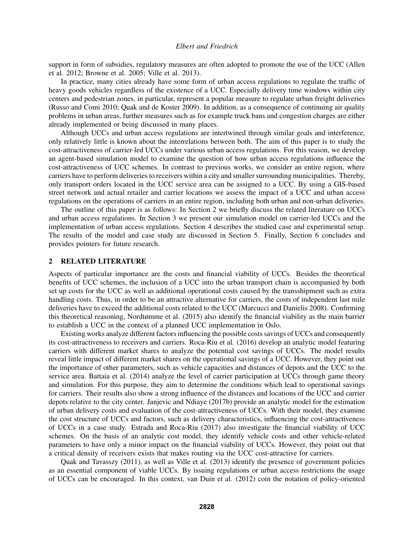support in form of subsidies, regulatory measures are often adopted to promote the use of the UCC (Allen et al. 2012; Browne et al. 2005; Ville et al. 2013).

In practice, many cities already have some form of urban access regulations to regulate the traffic of heavy goods vehicles regardless of the existence of a UCC. Especially delivery time windows within city centers and pedestrian zones, in particular, represent a popular measure to regulate urban freight deliveries (Russo and Comi 2010; Quak and de Koster 2009). In addition, as a consequence of continuing air quality problems in urban areas, further measures such as for example truck bans and congestion charges are either already implemented or being discussed in many places.

Although UCCs and urban access regulations are intertwined through similar goals and interference, only relatively little is known about the interrelations between both. The aim of this paper is to study the cost-attractiveness of carrier-led UCCs under various urban access regulations. For this reason, we develop an agent-based simulation model to examine the question of how urban access regulations influence the cost-attractiveness of UCC schemes. In contrast to previous works, we consider an entire region, where carriers have to perform deliveries to receivers within a city and smaller surrounding municipalities. Thereby, only transport orders located in the UCC service area can be assigned to a UCC. By using a GIS-based street network and actual retailer and carrier locations we assess the impact of a UCC and urban access regulations on the operations of carriers in an entire region, including both urban and non-urban deliveries.

The outline of this paper is as follows: In Section 2 we briefly discuss the related literature on UCCs and urban access regulations. In Section 3 we present our simulation model on carrier-led UCCs and the implementation of urban access regulations. Section 4 describes the studied case and experimental setup. The results of the model and case study are discussed in Section 5. Finally, Section 6 concludes and provides pointers for future research.

#### 2 RELATED LITERATURE

Aspects of particular importance are the costs and financial viability of UCCs. Besides the theoretical benefits of UCC schemes, the inclusion of a UCC into the urban transport chain is accompanied by both set up costs for the UCC as well as additional operational costs caused by the transshipment such as extra handling costs. Thus, in order to be an attractive alternative for carriers, the costs of independent last mile deliveries have to exceed the additional costs related to the UCC (Marcucci and Danielis 2008). Confirming this theoretical reasoning, Nordtømme et al. (2015) also identify the financial viability as the main barrier to establish a UCC in the context of a planned UCC implementation in Oslo.

Existing works analyze different factors influencing the possible costs savings of UCCs and consequently its cost-attractiveness to receivers and carriers. Roca-Riu et al. (2016) develop an analytic model featuring carriers with different market shares to analyze the potential cost savings of UCCs. The model results reveal little impact of different market shares on the operational savings of a UCC. However, they point out the importance of other parameters, such as vehicle capacities and distances of depots and the UCC to the service area. Battaia et al. (2014) analyze the level of carrier participation at UCCs through game theory and simulation. For this purpose, they aim to determine the conditions which lead to operational savings for carriers. Their results also show a strong influence of the distances and locations of the UCC and carrier depots relative to the city center. Janjevic and Ndiaye (2017b) provide an analytic model for the estimation of urban delivery costs and evaluation of the cost-attractiveness of UCCs. With their model, they examine the cost structure of UCCs and factors, such as delivery characteristics, influencing the cost-attractiveness of UCCs in a case study. Estrada and Roca-Riu (2017) also investigate the financial viability of UCC schemes. On the basis of an analytic cost model, they identify vehicle costs and other vehicle-related parameters to have only a minor impact on the financial viability of UCCs. However, they point out that a critical density of receivers exists that makes routing via the UCC cost-attractive for carriers.

Quak and Tavasszy (2011), as well as Ville et al. (2013) identify the presence of government policies as an essential component of viable UCCs. By issuing regulations or urban access restrictions the usage of UCCs can be encouraged. In this context, van Duin et al. (2012) coin the notation of policy-oriented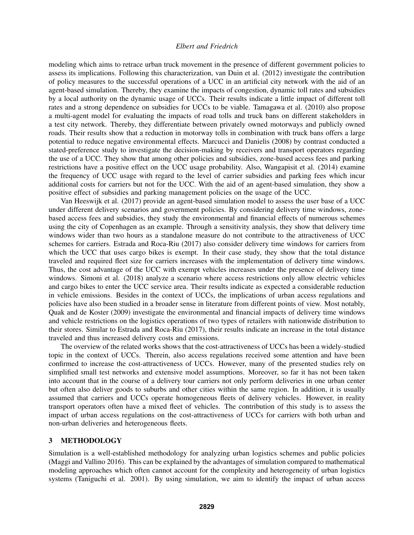modeling which aims to retrace urban truck movement in the presence of different government policies to assess its implications. Following this characterization, van Duin et al. (2012) investigate the contribution of policy measures to the successful operations of a UCC in an artificial city network with the aid of an agent-based simulation. Thereby, they examine the impacts of congestion, dynamic toll rates and subsidies by a local authority on the dynamic usage of UCCs. Their results indicate a little impact of different toll rates and a strong dependence on subsidies for UCCs to be viable. Tamagawa et al. (2010) also propose a multi-agent model for evaluating the impacts of road tolls and truck bans on different stakeholders in a test city network. Thereby, they differentiate between privately owned motorways and publicly owned roads. Their results show that a reduction in motorway tolls in combination with truck bans offers a large potential to reduce negative environmental effects. Marcucci and Danielis (2008) by contrast conducted a stated-preference study to investigate the decision-making by receivers and transport operators regarding the use of a UCC. They show that among other policies and subsidies, zone-based access fees and parking restrictions have a positive effect on the UCC usage probability. Also, Wangapisit et al. (2014) examine the frequency of UCC usage with regard to the level of carrier subsidies and parking fees which incur additional costs for carriers but not for the UCC. With the aid of an agent-based simulation, they show a positive effect of subsidies and parking management policies on the usage of the UCC.

Van Heeswijk et al. (2017) provide an agent-based simulation model to assess the user base of a UCC under different delivery scenarios and government policies. By considering delivery time windows, zonebased access fees and subsidies, they study the environmental and financial effects of numerous schemes using the city of Copenhagen as an example. Through a sensitivity analysis, they show that delivery time windows wider than two hours as a standalone measure do not contribute to the attractiveness of UCC schemes for carriers. Estrada and Roca-Riu (2017) also consider delivery time windows for carriers from which the UCC that uses cargo bikes is exempt. In their case study, they show that the total distance traveled and required fleet size for carriers increases with the implementation of delivery time windows. Thus, the cost advantage of the UCC with exempt vehicles increases under the presence of delivery time windows. Simoni et al. (2018) analyze a scenario where access restrictions only allow electric vehicles and cargo bikes to enter the UCC service area. Their results indicate as expected a considerable reduction in vehicle emissions. Besides in the context of UCCs, the implications of urban access regulations and policies have also been studied in a broader sense in literature from different points of view. Most notably, Quak and de Koster (2009) investigate the environmental and financial impacts of delivery time windows and vehicle restrictions on the logistics operations of two types of retailers with nationwide distribution to their stores. Similar to Estrada and Roca-Riu (2017), their results indicate an increase in the total distance traveled and thus increased delivery costs and emissions.

The overview of the related works shows that the cost-attractiveness of UCCs has been a widely-studied topic in the context of UCCs. Therein, also access regulations received some attention and have been confirmed to increase the cost-attractiveness of UCCs. However, many of the presented studies rely on simplified small test networks and extensive model assumptions. Moreover, so far it has not been taken into account that in the course of a delivery tour carriers not only perform deliveries in one urban center but often also deliver goods to suburbs and other cities within the same region. In addition, it is usually assumed that carriers and UCCs operate homogeneous fleets of delivery vehicles. However, in reality transport operators often have a mixed fleet of vehicles. The contribution of this study is to assess the impact of urban access regulations on the cost-attractiveness of UCCs for carriers with both urban and non-urban deliveries and heterogeneous fleets.

# 3 METHODOLOGY

Simulation is a well-established methodology for analyzing urban logistics schemes and public policies (Maggi and Vallino 2016). This can be explained by the advantages of simulation compared to mathematical modeling approaches which often cannot account for the complexity and heterogeneity of urban logistics systems (Taniguchi et al. 2001). By using simulation, we aim to identify the impact of urban access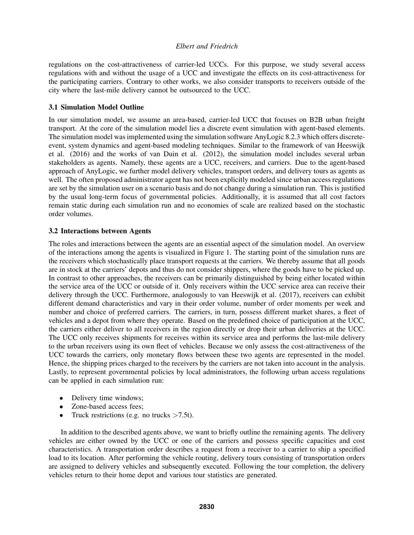regulations on the cost-attractiveness of carrier-led UCCs. For this purpose, we study several access regulations with and without the usage of a UCC and investigate the effects on its cost-attractiveness for the participating carriers. Contrary to other works, we also consider transports to receivers outside of the city where the last-mile delivery cannot be outsourced to the UCC.

# 3.1 Simulation Model Outline

In our simulation model, we assume an area-based, carrier-led UCC that focuses on B2B urban freight transport. At the core of the simulation model lies a discrete event simulation with agent-based elements. The simulation model was implemented using the simulation software AnyLogic 8.2.3 which offers discreteevent, system dynamics and agent-based modeling techniques. Similar to the framework of van Heeswijk et al. (2016) and the works of van Duin et al. (2012), the simulation model includes several urban stakeholders as agents. Namely, these agents are a UCC, receivers, and carriers. Due to the agent-based approach of AnyLogic, we further model delivery vehicles, transport orders, and delivery tours as agents as well. The often proposed administrator agent has not been explicitly modeled since urban access regulations are set by the simulation user on a scenario basis and do not change during a simulation run. This is justified by the usual long-term focus of governmental policies. Additionally, it is assumed that all cost factors remain static during each simulation run and no economies of scale are realized based on the stochastic order volumes.

# 3.2 Interactions between Agents

The roles and interactions between the agents are an essential aspect of the simulation model. An overview of the interactions among the agents is visualized in Figure 1. The starting point of the simulation runs are the receivers which stochastically place transport requests at the carriers. We thereby assume that all goods are in stock at the carriers' depots and thus do not consider shippers, where the goods have to be picked up. In contrast to other approaches, the receivers can be primarily distinguished by being either located within the service area of the UCC or outside of it. Only receivers within the UCC service area can receive their delivery through the UCC. Furthermore, analogously to van Heeswijk et al. (2017), receivers can exhibit different demand characteristics and vary in their order volume, number of order moments per week and number and choice of preferred carriers. The carriers, in turn, possess different market shares, a fleet of vehicles and a depot from where they operate. Based on the predefined choice of participation at the UCC, the carriers either deliver to all receivers in the region directly or drop their urban deliveries at the UCC. The UCC only receives shipments for receives within its service area and performs the last-mile delivery to the urban receivers using its own fleet of vehicles. Because we only assess the cost-attractiveness of the UCC towards the carriers, only monetary flows between these two agents are represented in the model. Hence, the shipping prices charged to the receivers by the carriers are not taken into account in the analysis. Lastly, to represent governmental policies by local administrators, the following urban access regulations can be applied in each simulation run:

- Delivery time windows;
- Zone-based access fees:
- Truck restrictions (e.g. no trucks  $>7.5t$ ).

In addition to the described agents above, we want to briefly outline the remaining agents. The delivery vehicles are either owned by the UCC or one of the carriers and possess specific capacities and cost characteristics. A transportation order describes a request from a receiver to a carrier to ship a specified load to its location. After performing the vehicle routing, delivery tours consisting of transportation orders are assigned to delivery vehicles and subsequently executed. Following the tour completion, the delivery vehicles return to their home depot and various tour statistics are generated.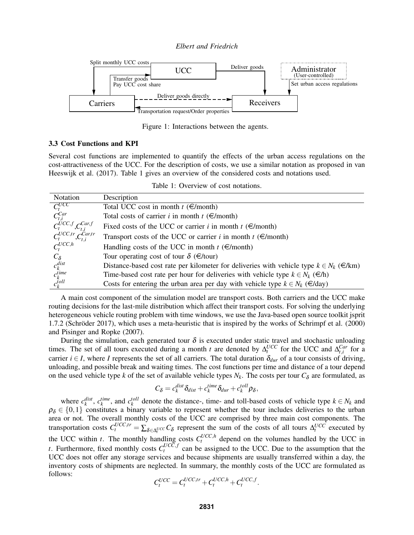*Elbert and Friedrich*



Figure 1: Interactions between the agents.

## 3.3 Cost Functions and KPI

Several cost functions are implemented to quantify the effects of the urban access regulations on the cost-attractiveness of the UCC. For the description of costs, we use a similar notation as proposed in van Heeswijk et al. (2017). Table 1 gives an overview of the considered costs and notations used.

Table 1: Overview of cost notations.

| Notation                                              | Description                                                                                                 |
|-------------------------------------------------------|-------------------------------------------------------------------------------------------------------------|
| $\overline{C^{UCC}_t}$                                | Total UCC cost in month $t \in \text{/month}$                                                               |
|                                                       | Total costs of carrier <i>i</i> in month $t \in \text{/month}$                                              |
| $C^{Car}_{t,i}$<br>$C^{UCC, f}_{t}, C^{Car, f}_{t,i}$ | Fixed costs of the UCC or carrier <i>i</i> in month $t \in \text{/month}$                                   |
| $c_t^{UCC,tr}$ , $c_{t,i}^{Car,tr}$                   | Transport costs of the UCC or carrier <i>i</i> in month $t \in \text{Im}(t)$                                |
| $C_t^{UCC,h}$                                         | Handling costs of the UCC in month $t \in \text{/month}$                                                    |
| $C_{\delta}$                                          | Tour operating cost of tour $\delta$ ( $\in$ /tour)                                                         |
| $c_k^{dist}$                                          | Distance-based cost rate per kilometer for deliveries with vehicle type $k \in N_k$ ( $\in \mathcal{R}_k$ ) |
| $c_k^{time}$                                          | Time-based cost rate per hour for deliveries with vehicle type $k \in N_k$ ( $\in$ /h)                      |
| $c_k^{toll}$                                          | Costs for entering the urban area per day with vehicle type $k \in N_k$ ( $\in$ /day)                       |

A main cost component of the simulation model are transport costs. Both carriers and the UCC make routing decisions for the last-mile distribution which affect their transport costs. For solving the underlying heterogeneous vehicle routing problem with time windows, we use the Java-based open source toolkit jsprit 1.7.2 (Schröder 2017), which uses a meta-heuristic that is inspired by the works of Schrimpf et al. (2000) and Pisinger and Ropke (2007).

During the simulation, each generated tour  $\delta$  is executed under static travel and stochastic unloading times. The set of all tours executed during a month *t* are denoted by  $\Delta_t^{UCC}$  for the UCC and  $\Delta_{t,i}^{Car}$  for a carrier  $i \in I$ , where *I* represents the set of all carriers. The total duration  $\delta_{dur}$  of a tour consists of driving, unloading, and possible break and waiting times. The cost functions per time and distance of a tour depend on the used vehicle type *k* of the set of available vehicle types  $N_k$ . The costs per tour  $C_{\delta}$  are formulated, as

$$
C_{\delta} = c_k^{dist} \delta_{dist} + c_k^{time} \delta_{dur} + c_k^{toll} \rho_{\delta},
$$

where  $c_k^{dist}$ ,  $c_k^{time}$ , and  $c_k^{toll}$  denote the distance-, time- and toll-based costs of vehicle type  $k \in N_k$  and  $\rho_{\delta} \in \{0,1\}$  constitutes a binary variable to represent whether the tour includes deliveries to the urban area or not. The overall monthly costs of the UCC are comprised by three main cost components. The transportation costs  $C_t^{UCC,tr} = \sum_{\delta \in \Delta_t^{UCC}} C_{\delta}$  represent the sum of the costs of all tours  $\Delta_t^{UCC}$  executed by *t* the UCC within *t*. The monthly handling costs  $C_t^{UCC,h}$  depend on the volumes handled by the UCC in *t*. Furthermore, fixed monthly costs  $C_t^{UCC, f}$  can be assigned to the UCC. Due to the assumption that the UCC does not offer any storage services and because shipments are usually transferred within a day, the inventory costs of shipments are neglected. In summary, the monthly costs of the UCC are formulated as follows:

$$
C_t^{UCC} = C_t^{UCC,tr} + C_t^{UCC,h} + C_t^{UCC,f}.
$$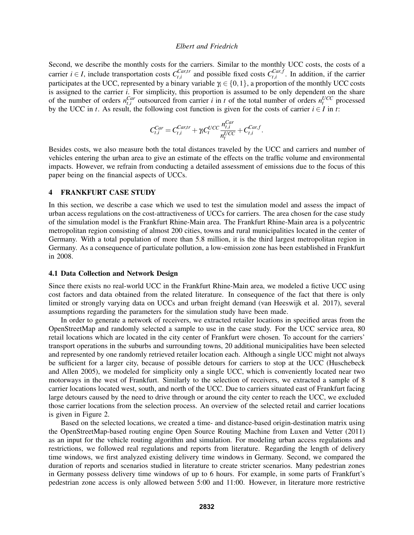Second, we describe the monthly costs for the carriers. Similar to the monthly UCC costs, the costs of a carrier *i*  $\in$  *I*, include transportation costs  $C_{t,i}^{Car,tr}$  $_{t,i}^{Car,tr}$  and possible fixed costs  $C_{t,i}^{Car,f}$  $t_i$ ,*i*, In addition, if the carrier participates at the UCC, represented by a binary variable  $\gamma_i \in \{0,1\}$ , a proportion of the monthly UCC costs is assigned to the carrier *i*. For simplicity, this proportion is assumed to be only dependent on the share of the number of orders  $n_{t,i}^{Car}$  outsourced from carrier *i* in *t* of the total number of orders  $n_t^{UCC}$  processed by the UCC in *t*. As result, the following cost function is given for the costs of carrier  $i \in I$  in *t*:

$$
C_{t,i}^{Car} = C_{t,i}^{Car,tr} + \gamma_t C_t^{UCC} \frac{n_{t,i}^{Car}}{n_t^{UCC}} + C_{t,i}^{Car.f}.
$$

Besides costs, we also measure both the total distances traveled by the UCC and carriers and number of vehicles entering the urban area to give an estimate of the effects on the traffic volume and environmental impacts. However, we refrain from conducting a detailed assessment of emissions due to the focus of this paper being on the financial aspects of UCCs.

#### 4 FRANKFURT CASE STUDY

In this section, we describe a case which we used to test the simulation model and assess the impact of urban access regulations on the cost-attractiveness of UCCs for carriers. The area chosen for the case study of the simulation model is the Frankfurt Rhine-Main area. The Frankfurt Rhine-Main area is a polycentric metropolitan region consisting of almost 200 cities, towns and rural municipalities located in the center of Germany. With a total population of more than 5.8 million, it is the third largest metropolitan region in Germany. As a consequence of particulate pollution, a low-emission zone has been established in Frankfurt in 2008.

#### 4.1 Data Collection and Network Design

Since there exists no real-world UCC in the Frankfurt Rhine-Main area, we modeled a fictive UCC using cost factors and data obtained from the related literature. In consequence of the fact that there is only limited or strongly varying data on UCCs and urban freight demand (van Heeswijk et al. 2017), several assumptions regarding the parameters for the simulation study have been made.

In order to generate a network of receivers, we extracted retailer locations in specified areas from the OpenStreetMap and randomly selected a sample to use in the case study. For the UCC service area, 80 retail locations which are located in the city center of Frankfurt were chosen. To account for the carriers' transport operations in the suburbs and surrounding towns, 20 additional municipalities have been selected and represented by one randomly retrieved retailer location each. Although a single UCC might not always be sufficient for a larger city, because of possible detours for carriers to stop at the UCC (Huschebeck and Allen 2005), we modeled for simplicity only a single UCC, which is conveniently located near two motorways in the west of Frankfurt. Similarly to the selection of receivers, we extracted a sample of 8 carrier locations located west, south, and north of the UCC. Due to carriers situated east of Frankfurt facing large detours caused by the need to drive through or around the city center to reach the UCC, we excluded those carrier locations from the selection process. An overview of the selected retail and carrier locations is given in Figure 2.

Based on the selected locations, we created a time- and distance-based origin-destination matrix using the OpenStreetMap-based routing engine Open Source Routing Machine from Luxen and Vetter (2011) as an input for the vehicle routing algorithm and simulation. For modeling urban access regulations and restrictions, we followed real regulations and reports from literature. Regarding the length of delivery time windows, we first analyzed existing delivery time windows in Germany. Second, we compared the duration of reports and scenarios studied in literature to create stricter scenarios. Many pedestrian zones in Germany possess delivery time windows of up to 6 hours. For example, in some parts of Frankfurt's pedestrian zone access is only allowed between 5:00 and 11:00. However, in literature more restrictive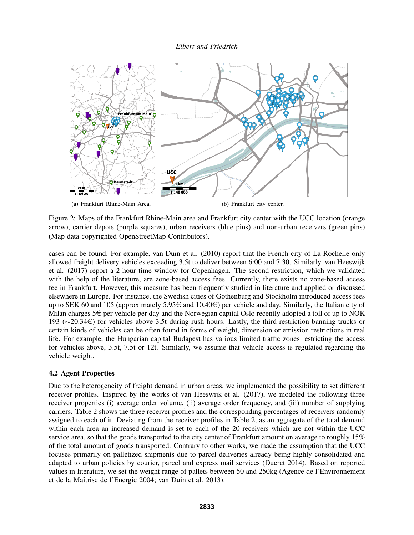

Figure 2: Maps of the Frankfurt Rhine-Main area and Frankfurt city center with the UCC location (orange arrow), carrier depots (purple squares), urban receivers (blue pins) and non-urban receivers (green pins) (Map data copyrighted OpenStreetMap Contributors).

cases can be found. For example, van Duin et al. (2010) report that the French city of La Rochelle only allowed freight delivery vehicles exceeding 3.5t to deliver between 6:00 and 7:30. Similarly, van Heeswijk et al. (2017) report a 2-hour time window for Copenhagen. The second restriction, which we validated with the help of the literature, are zone-based access fees. Currently, there exists no zone-based access fee in Frankfurt. However, this measure has been frequently studied in literature and applied or discussed elsewhere in Europe. For instance, the Swedish cities of Gothenburg and Stockholm introduced access fees up to SEK 60 and 105 (approximately 5.95 $\in$  and 10.40 $\in$ ) per vehicle and day. Similarly, the Italian city of Milan charges  $5 \in \text{per}$  vehicle per day and the Norwegian capital Oslo recently adopted a toll of up to NOK 193 (∼20.34e) for vehicles above 3.5t during rush hours. Lastly, the third restriction banning trucks or certain kinds of vehicles can be often found in forms of weight, dimension or emission restrictions in real life. For example, the Hungarian capital Budapest has various limited traffic zones restricting the access for vehicles above, 3.5t, 7.5t or 12t. Similarly, we assume that vehicle access is regulated regarding the vehicle weight.

# 4.2 Agent Properties

Due to the heterogeneity of freight demand in urban areas, we implemented the possibility to set different receiver profiles. Inspired by the works of van Heeswijk et al. (2017), we modeled the following three receiver properties (i) average order volume, (ii) average order frequency, and (iii) number of supplying carriers. Table 2 shows the three receiver profiles and the corresponding percentages of receivers randomly assigned to each of it. Deviating from the receiver profiles in Table 2, as an aggregate of the total demand within each area an increased demand is set to each of the 20 receivers which are not within the UCC service area, so that the goods transported to the city center of Frankfurt amount on average to roughly 15% of the total amount of goods transported. Contrary to other works, we made the assumption that the UCC focuses primarily on palletized shipments due to parcel deliveries already being highly consolidated and adapted to urban policies by courier, parcel and express mail services (Ducret 2014). Based on reported values in literature, we set the weight range of pallets between 50 and 250kg (Agence de l'Environnement et de la Maîtrise de l'Energie 2004; van Duin et al. 2013).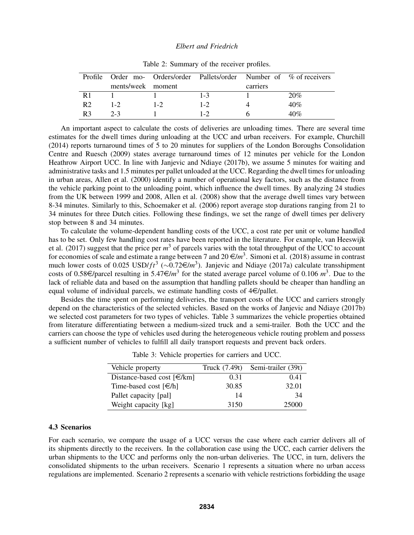|                |                   |         | Profile Order mo- Orders/order Pallets/order Number of % of receivers |          |     |  |
|----------------|-------------------|---------|-----------------------------------------------------------------------|----------|-----|--|
|                | ments/week moment |         |                                                                       | carriers |     |  |
| R1             |                   |         | $1 - 3$                                                               |          | 20% |  |
| R <sub>2</sub> | $1 - 2$           | $1 - 2$ | $1 - 2$                                                               |          | 40% |  |
| R <sub>3</sub> | $2 - 3$           |         | $1 - 2$                                                               |          | 40% |  |

Table 2: Summary of the receiver profiles.

An important aspect to calculate the costs of deliveries are unloading times. There are several time estimates for the dwell times during unloading at the UCC and urban receivers. For example, Churchill (2014) reports turnaround times of 5 to 20 minutes for suppliers of the London Boroughs Consolidation Centre and Ruesch (2009) states average turnaround times of 12 minutes per vehicle for the London Heathrow Airport UCC. In line with Janjevic and Ndiaye (2017b), we assume 5 minutes for waiting and administrative tasks and 1.5 minutes per pallet unloaded at the UCC. Regarding the dwell times for unloading in urban areas, Allen et al. (2000) identify a number of operational key factors, such as the distance from the vehicle parking point to the unloading point, which influence the dwell times. By analyzing 24 studies from the UK between 1999 and 2008, Allen et al. (2008) show that the average dwell times vary between 8-34 minutes. Similarly to this, Schoemaker et al. (2006) report average stop durations ranging from 21 to 34 minutes for three Dutch cities. Following these findings, we set the range of dwell times per delivery stop between 8 and 34 minutes.

To calculate the volume-dependent handling costs of the UCC, a cost rate per unit or volume handled has to be set. Only few handling cost rates have been reported in the literature. For example, van Heeswijk et al.  $(2017)$  suggest that the price per  $m<sup>3</sup>$  of parcels varies with the total throughput of the UCC to account for economies of scale and estimate a range between 7 and  $20 \in m^3$ . Simoni et al. (2018) assume in contrast much lower costs of 0.025 USD/ $ft^3$  (~0.72€/m<sup>3</sup>). Janjevic and Ndiaye (2017a) calculate transshipment costs of 0.58  $\in$ /parcel resulting in 5.47  $\in$ /*m*<sup>3</sup> for the stated average parcel volume of 0.106 *m*<sup>3</sup>. Due to the lack of reliable data and based on the assumption that handling pallets should be cheaper than handling an equal volume of individual parcels, we estimate handling costs of  $4 \in$ /pallet.

Besides the time spent on performing deliveries, the transport costs of the UCC and carriers strongly depend on the characteristics of the selected vehicles. Based on the works of Janjevic and Ndiaye (2017b) we selected cost parameters for two types of vehicles. Table 3 summarizes the vehicle properties obtained from literature differentiating between a medium-sized truck and a semi-trailer. Both the UCC and the carriers can choose the type of vehicles used during the heterogeneous vehicle routing problem and possess a sufficient number of vehicles to fulfill all daily transport requests and prevent back orders.

| Vehicle property                                    | Truck (7.49t) | Semi-trailer (39t) |
|-----------------------------------------------------|---------------|--------------------|
| Distance-based cost $\lceil \in \mathcal{R} \rceil$ | 0.31          | 0.41               |
| Time-based cost $\lceil \in/h \rceil$               | 30.85         | 32.01              |
| Pallet capacity [pal]                               | 14            | 34                 |
| Weight capacity [kg]                                | 3150          | 25000              |

Table 3: Vehicle properties for carriers and UCC.

# 4.3 Scenarios

For each scenario, we compare the usage of a UCC versus the case where each carrier delivers all of its shipments directly to the receivers. In the collaboration case using the UCC, each carrier delivers the urban shipments to the UCC and performs only the non-urban deliveries. The UCC, in turn, delivers the consolidated shipments to the urban receivers. Scenario 1 represents a situation where no urban access regulations are implemented. Scenario 2 represents a scenario with vehicle restrictions forbidding the usage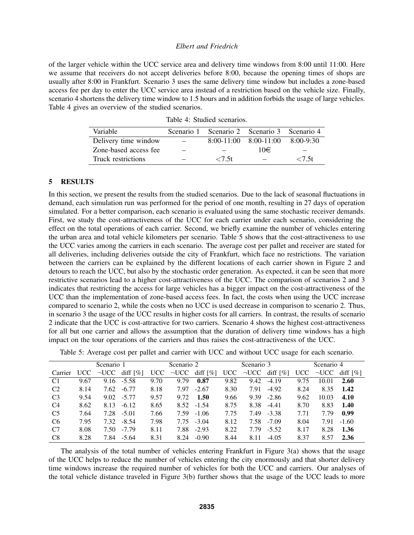of the larger vehicle within the UCC service area and delivery time windows from 8:00 until 11:00. Here we assume that receivers do not accept deliveries before 8:00, because the opening times of shops are usually after 8:00 in Frankfurt. Scenario 3 uses the same delivery time window but includes a zone-based access fee per day to enter the UCC service area instead of a restriction based on the vehicle size. Finally, scenario 4 shortens the delivery time window to 1.5 hours and in addition forbids the usage of large vehicles. Table 4 gives an overview of the studied scenarios.

| Variable              | Scenario 1 Scenario 2 Scenario 3 Scenario 4 |     |             |
|-----------------------|---------------------------------------------|-----|-------------|
| Delivery time window  | $8:00-11:00$ $8:00-11:00$                   |     | $8:00-9:30$ |
| Zone-based access fee |                                             | 10€ |             |
| Truck restrictions    | ${<}7.5t$                                   |     | ${<}7.5t$   |
|                       |                                             |     |             |

# Table 4: Studied scenarios.

#### 5 RESULTS

In this section, we present the results from the studied scenarios. Due to the lack of seasonal fluctuations in demand, each simulation run was performed for the period of one month, resulting in 27 days of operation simulated. For a better comparison, each scenario is evaluated using the same stochastic receiver demands. First, we study the cost-attractiveness of the UCC for each carrier under each scenario, considering the effect on the total operations of each carrier. Second, we briefly examine the number of vehicles entering the urban area and total vehicle kilometers per scenario. Table 5 shows that the cost-attractiveness to use the UCC varies among the carriers in each scenario. The average cost per pallet and receiver are stated for all deliveries, including deliveries outside the city of Frankfurt, which face no restrictions. The variation between the carriers can be explained by the different locations of each carrier shown in Figure 2 and detours to reach the UCC, but also by the stochastic order generation. As expected, it can be seen that more restrictive scenarios lead to a higher cost-attractiveness of the UCC. The comparison of scenarios 2 and 3 indicates that restricting the access for large vehicles has a bigger impact on the cost-attractiveness of the UCC than the implementation of zone-based access fees. In fact, the costs when using the UCC increase compared to scenario 2, while the costs when no UCC is used decrease in comparison to scenario 2. Thus, in scenario 3 the usage of the UCC results in higher costs for all carriers. In contrast, the results of scenario 2 indicate that the UCC is cost-attractive for two carriers. Scenario 4 shows the highest cost-attractiveness for all but one carrier and allows the assumption that the duration of delivery time windows has a high impact on the tour operations of the carriers and thus raises the cost-attractiveness of the UCC.

|                | Scenario 1 |            | Scenario 2              |      | Scenario 3 |                         |      | Scenario 4 |                         |      |            |                         |
|----------------|------------|------------|-------------------------|------|------------|-------------------------|------|------------|-------------------------|------|------------|-------------------------|
| Carrier        | UCC.       | $\neg$ UCC | diff $\lceil \% \rceil$ | UCC  | $\neg$ UCC | diff $\lceil \% \rceil$ | UCC. | $\neg$ UCC | diff $\lceil \% \rceil$ | UCC  | $\neg$ UCC | diff $\lceil \% \rceil$ |
| C <sub>1</sub> | 9.67       | 9.16       | $-5.58$                 | 9.70 | 9.79       | 0.87                    | 9.82 | 9.42       | $-4.19$                 | 9.75 | 10.01      | 2.60                    |
| C <sub>2</sub> | 8.14       | 7.62       | $-6.77$                 | 8.18 | 7.97       | $-2.67$                 | 8.30 | 7.91       | $-4.92$                 | 8.24 | 8.35       | 1.42                    |
| C <sub>3</sub> | 9.54       | 9.02       | $-5.77$                 | 9.57 | 9.72       | 1.50                    | 9.66 | 9.39       | $-2.86$                 | 9.62 | 10.03      | 4.10                    |
| C4             | 8.62       | 8.13       | $-6.12$                 | 8.65 |            | $8.52 - 1.54$           | 8.75 | 8.38       | $-4.41$                 | 8.70 | 8.83       | 1.40                    |
| C <sub>5</sub> | 7.64       | 7.28       | $-5.01$                 | 7.66 | 7.59       | $-1.06$                 | 7.75 | 7.49       | $-3.38$                 | 7.71 | 7.79       | 0.99                    |
| C <sub>6</sub> | 7.95       | 7.32       | $-8.54$                 | 7.98 | 7.75       | $-3.04$                 | 8.12 | 7.58       | $-7.09$                 | 8.04 | 7.91       | $-1.60$                 |
| C <sub>7</sub> | 8.08       | 7.50       | $-7.79$                 | 8.11 | 7.88       | $-2.93$                 | 8.22 | 7.79       | $-5.52$                 | 8.17 | 8.28       | 1.36                    |
| C <sub>8</sub> | 8.28       | 7.84       | $-5.64$                 | 8.31 | 8.24       | $-0.90$                 | 8.44 | 8.11       | $-4.05$                 | 8.37 | 8.57       | 2.36                    |

Table 5: Average cost per pallet and carrier with UCC and without UCC usage for each scenario.

The analysis of the total number of vehicles entering Frankfurt in Figure 3(a) shows that the usage of the UCC helps to reduce the number of vehicles entering the city enormously and that shorter delivery time windows increase the required number of vehicles for both the UCC and carriers. Our analyses of the total vehicle distance traveled in Figure 3(b) further shows that the usage of the UCC leads to more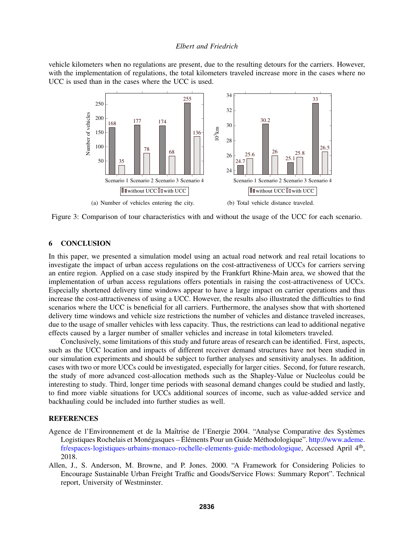vehicle kilometers when no regulations are present, due to the resulting detours for the carriers. However, with the implementation of regulations, the total kilometers traveled increase more in the cases where no UCC is used than in the cases where the UCC is used.



Figure 3: Comparison of tour characteristics with and without the usage of the UCC for each scenario.

# 6 CONCLUSION

In this paper, we presented a simulation model using an actual road network and real retail locations to investigate the impact of urban access regulations on the cost-attractiveness of UCCs for carriers serving an entire region. Applied on a case study inspired by the Frankfurt Rhine-Main area, we showed that the implementation of urban access regulations offers potentials in raising the cost-attractiveness of UCCs. Especially shortened delivery time windows appear to have a large impact on carrier operations and thus increase the cost-attractiveness of using a UCC. However, the results also illustrated the difficulties to find scenarios where the UCC is beneficial for all carriers. Furthermore, the analyses show that with shortened delivery time windows and vehicle size restrictions the number of vehicles and distance traveled increases, due to the usage of smaller vehicles with less capacity. Thus, the restrictions can lead to additional negative effects caused by a larger number of smaller vehicles and increase in total kilometers traveled.

Conclusively, some limitations of this study and future areas of research can be identified. First, aspects, such as the UCC location and impacts of different receiver demand structures have not been studied in our simulation experiments and should be subject to further analyses and sensitivity analyses. In addition, cases with two or more UCCs could be investigated, especially for larger cities. Second, for future research, the study of more advanced cost-allocation methods such as the Shapley-Value or Nucleolus could be interesting to study. Third, longer time periods with seasonal demand changes could be studied and lastly, to find more viable situations for UCCs additional sources of income, such as value-added service and backhauling could be included into further studies as well.

### **REFERENCES**

- Agence de l'Environnement et de la Maîtrise de l'Energie 2004. "Analyse Comparative des Systèmes Logistiques Rochelais et Monégasques – Éléments Pour un Guide Méthodologique". http://www.ademe. fr/espaces-logistiques-urbains-monaco-rochelle-elements-guide-methodologique, Accessed April 4<sup>th</sup>, 2018.
- Allen, J., S. Anderson, M. Browne, and P. Jones. 2000. "A Framework for Considering Policies to Encourage Sustainable Urban Freight Traffic and Goods/Service Flows: Summary Report". Technical report, University of Westminster.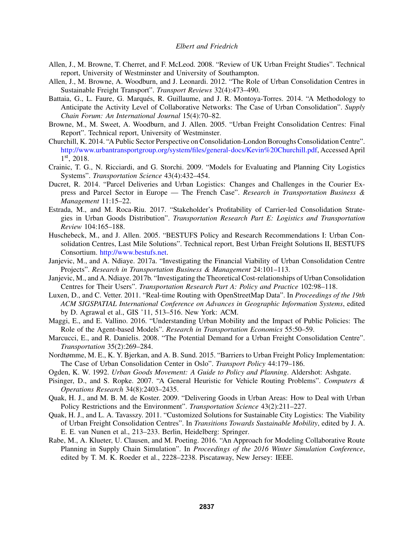- Allen, J., M. Browne, T. Cherret, and F. McLeod. 2008. "Review of UK Urban Freight Studies". Technical report, University of Westminster and University of Southampton.
- Allen, J., M. Browne, A. Woodburn, and J. Leonardi. 2012. "The Role of Urban Consolidation Centres in Sustainable Freight Transport". *Transport Reviews* 32(4):473–490.
- Battaia, G., L. Faure, G. Marqués, R. Guillaume, and J. R. Montoya-Torres. 2014. "A Methodology to Anticipate the Activity Level of Collaborative Networks: The Case of Urban Consolidation". *Supply Chain Forum: An International Journal* 15(4):70–82.
- Browne, M., M. Sweet, A. Woodburn, and J. Allen. 2005. "Urban Freight Consolidation Centres: Final Report". Technical report, University of Westminster.
- Churchill, K. 2014. "A Public Sector Perspective on Consolidation-London Boroughs Consolidation Centre". http://www.urbantransportgroup.org/system/files/general-docs/Kevin%20Churchill.pdf, Accessed April 1 st, 2018.
- Crainic, T. G., N. Ricciardi, and G. Storchi. 2009. "Models for Evaluating and Planning City Logistics Systems". *Transportation Science* 43(4):432–454.
- Ducret, R. 2014. "Parcel Deliveries and Urban Logistics: Changes and Challenges in the Courier Express and Parcel Sector in Europe — The French Case". *Research in Transportation Business & Management* 11:15–22.
- Estrada, M., and M. Roca-Riu. 2017. "Stakeholder's Profitability of Carrier-led Consolidation Strategies in Urban Goods Distribution". *Transportation Research Part E: Logistics and Transportation Review* 104:165–188.
- Huschebeck, M., and J. Allen. 2005. "BESTUFS Policy and Research Recommendations I: Urban Consolidation Centres, Last Mile Solutions". Technical report, Best Urban Freight Solutions II, BESTUFS Consortium. http://www.bestufs.net.
- Janjevic, M., and A. Ndiaye. 2017a. "Investigating the Financial Viability of Urban Consolidation Centre Projects". *Research in Transportation Business & Management* 24:101–113.
- Janjevic, M., and A. Ndiaye. 2017b. "Investigating the Theoretical Cost-relationships of Urban Consolidation Centres for Their Users". *Transportation Research Part A: Policy and Practice* 102:98–118.
- Luxen, D., and C. Vetter. 2011. "Real-time Routing with OpenStreetMap Data". In *Proceedings of the 19th ACM SIGSPATIAL International Conference on Advances in Geographic Information Systems*, edited by D. Agrawal et al., GIS '11, 513–516. New York: ACM.
- Maggi, E., and E. Vallino. 2016. "Understanding Urban Mobility and the Impact of Public Policies: The Role of the Agent-based Models". *Research in Transportation Economics* 55:50–59.
- Marcucci, E., and R. Danielis. 2008. "The Potential Demand for a Urban Freight Consolidation Centre". *Transportation* 35(2):269–284.
- Nordtømme, M. E., K. Y. Bjerkan, and A. B. Sund. 2015. "Barriers to Urban Freight Policy Implementation: The Case of Urban Consolidation Center in Oslo". *Transport Policy* 44:179–186.
- Ogden, K. W. 1992. *Urban Goods Movement: A Guide to Policy and Planning*. Aldershot: Ashgate.
- Pisinger, D., and S. Ropke. 2007. "A General Heuristic for Vehicle Routing Problems". *Computers & Operations Research* 34(8):2403–2435.
- Quak, H. J., and M. B. M. de Koster. 2009. "Delivering Goods in Urban Areas: How to Deal with Urban Policy Restrictions and the Environment". *Transportation Science* 43(2):211–227.
- Quak, H. J., and L. A. Tavasszy. 2011. "Customized Solutions for Sustainable City Logistics: The Viability of Urban Freight Consolidation Centres". In *Transitions Towards Sustainable Mobility*, edited by J. A. E. E. van Nunen et al., 213–233. Berlin, Heidelberg: Springer.
- Rabe, M., A. Klueter, U. Clausen, and M. Poeting. 2016. "An Approach for Modeling Collaborative Route Planning in Supply Chain Simulation". In *Proceedings of the 2016 Winter Simulation Conference*, edited by T. M. K. Roeder et al., 2228–2238. Piscataway, New Jersey: IEEE.